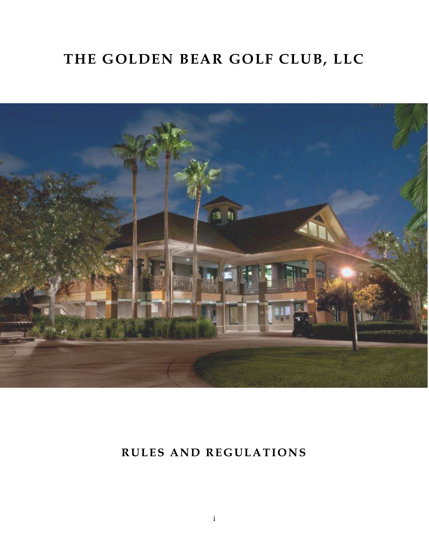# **THE GOLDEN BEAR GOLF CLUB, LLC**



# **RULES AND REGULATIONS**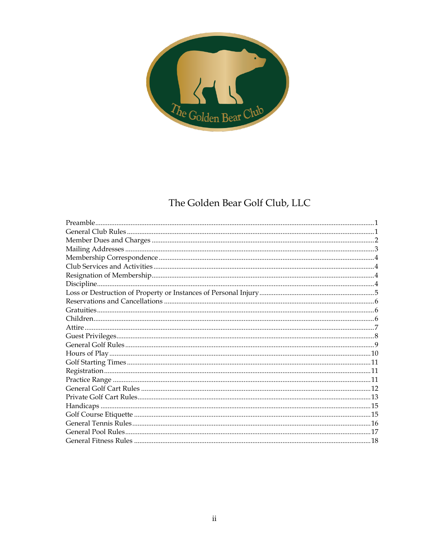

# The Golden Bear Golf Club, LLC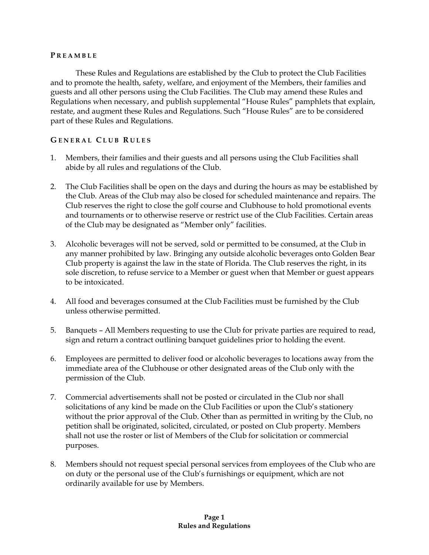#### **P R E A M B L E**

These Rules and Regulations are established by the Club to protect the Club Facilities and to promote the health, safety, welfare, and enjoyment of the Members, their families and guests and all other persons using the Club Facilities. The Club may amend these Rules and Regulations when necessary, and publish supplemental "House Rules" pamphlets that explain, restate, and augment these Rules and Regulations. Such "House Rules" are to be considered part of these Rules and Regulations.

#### **G E N E R A L C L U B R U L E S**

- 1. Members, their families and their guests and all persons using the Club Facilities shall abide by all rules and regulations of the Club.
- 2. The Club Facilities shall be open on the days and during the hours as may be established by the Club. Areas of the Club may also be closed for scheduled maintenance and repairs. The Club reserves the right to close the golf course and Clubhouse to hold promotional events and tournaments or to otherwise reserve or restrict use of the Club Facilities. Certain areas of the Club may be designated as "Member only" facilities.
- 3. Alcoholic beverages will not be served, sold or permitted to be consumed, at the Club in any manner prohibited by law. Bringing any outside alcoholic beverages onto Golden Bear Club property is against the law in the state of Florida. The Club reserves the right, in its sole discretion, to refuse service to a Member or guest when that Member or guest appears to be intoxicated.
- 4. All food and beverages consumed at the Club Facilities must be furnished by the Club unless otherwise permitted.
- 5. Banquets All Members requesting to use the Club for private parties are required to read, sign and return a contract outlining banquet guidelines prior to holding the event.
- 6. Employees are permitted to deliver food or alcoholic beverages to locations away from the immediate area of the Clubhouse or other designated areas of the Club only with the permission of the Club.
- 7. Commercial advertisements shall not be posted or circulated in the Club nor shall solicitations of any kind be made on the Club Facilities or upon the Club's stationery without the prior approval of the Club. Other than as permitted in writing by the Club, no petition shall be originated, solicited, circulated, or posted on Club property. Members shall not use the roster or list of Members of the Club for solicitation or commercial purposes.
- 8. Members should not request special personal services from employees of the Club who are on duty or the personal use of the Club's furnishings or equipment, which are not ordinarily available for use by Members.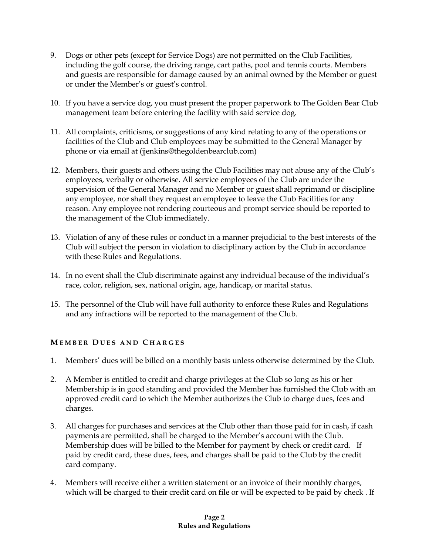- 9. Dogs or other pets (except for Service Dogs) are not permitted on the Club Facilities, including the golf course, the driving range, cart paths, pool and tennis courts. Members and guests are responsible for damage caused by an animal owned by the Member or guest or under the Member's or guest's control.
- 10. If you have a service dog, you must present the proper paperwork to The Golden Bear Club management team before entering the facility with said service dog.
- 11. All complaints, criticisms, or suggestions of any kind relating to any of the operations or facilities of the Club and Club employees may be submitted to the General Manager by phone or via email at (jjenkins@thegoldenbearclub.com)
- 12. Members, their guests and others using the Club Facilities may not abuse any of the Club's employees, verbally or otherwise. All service employees of the Club are under the supervision of the General Manager and no Member or guest shall reprimand or discipline any employee, nor shall they request an employee to leave the Club Facilities for any reason. Any employee not rendering courteous and prompt service should be reported to the management of the Club immediately.
- 13. Violation of any of these rules or conduct in a manner prejudicial to the best interests of the Club will subject the person in violation to disciplinary action by the Club in accordance with these Rules and Regulations.
- 14. In no event shall the Club discriminate against any individual because of the individual's race, color, religion, sex, national origin, age, handicap, or marital status.
- 15. The personnel of the Club will have full authority to enforce these Rules and Regulations and any infractions will be reported to the management of the Club.

# **M E M B E R D U E S A N D C H A R G E S**

- 1. Members' dues will be billed on a monthly basis unless otherwise determined by the Club.
- 2. A Member is entitled to credit and charge privileges at the Club so long as his or her Membership is in good standing and provided the Member has furnished the Club with an approved credit card to which the Member authorizes the Club to charge dues, fees and charges.
- 3. All charges for purchases and services at the Club other than those paid for in cash, if cash payments are permitted, shall be charged to the Member's account with the Club. Membership dues will be billed to the Member for payment by check or credit card. If paid by credit card, these dues, fees, and charges shall be paid to the Club by the credit card company.
- 4. Members will receive either a written statement or an invoice of their monthly charges, which will be charged to their credit card on file or will be expected to be paid by check . If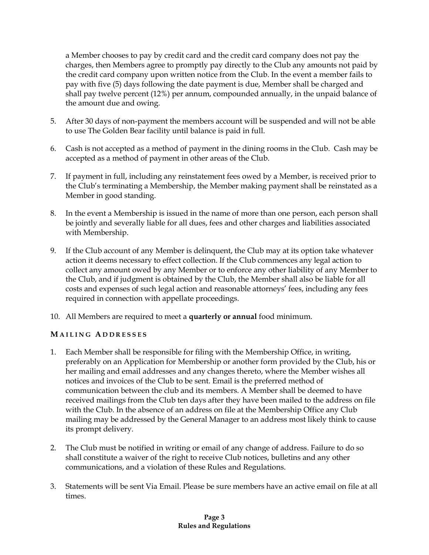a Member chooses to pay by credit card and the credit card company does not pay the charges, then Members agree to promptly pay directly to the Club any amounts not paid by the credit card company upon written notice from the Club. In the event a member fails to pay with five (5) days following the date payment is due, Member shall be charged and shall pay twelve percent (12%) per annum, compounded annually, in the unpaid balance of the amount due and owing.

- 5. After 30 days of non-payment the members account will be suspended and will not be able to use The Golden Bear facility until balance is paid in full.
- 6. Cash is not accepted as a method of payment in the dining rooms in the Club. Cash may be accepted as a method of payment in other areas of the Club.
- 7. If payment in full, including any reinstatement fees owed by a Member, is received prior to the Club's terminating a Membership, the Member making payment shall be reinstated as a Member in good standing.
- 8. In the event a Membership is issued in the name of more than one person, each person shall be jointly and severally liable for all dues, fees and other charges and liabilities associated with Membership.
- 9. If the Club account of any Member is delinquent, the Club may at its option take whatever action it deems necessary to effect collection. If the Club commences any legal action to collect any amount owed by any Member or to enforce any other liability of any Member to the Club, and if judgment is obtained by the Club, the Member shall also be liable for all costs and expenses of such legal action and reasonable attorneys' fees, including any fees required in connection with appellate proceedings.
- 10. All Members are required to meet a **quarterly or annual** food minimum.

# **M A I L I N G A D D R E S S E S**

- 1. Each Member shall be responsible for filing with the Membership Office, in writing, preferably on an Application for Membership or another form provided by the Club, his or her mailing and email addresses and any changes thereto, where the Member wishes all notices and invoices of the Club to be sent. Email is the preferred method of communication between the club and its members. A Member shall be deemed to have received mailings from the Club ten days after they have been mailed to the address on file with the Club. In the absence of an address on file at the Membership Office any Club mailing may be addressed by the General Manager to an address most likely think to cause its prompt delivery.
- 2. The Club must be notified in writing or email of any change of address. Failure to do so shall constitute a waiver of the right to receive Club notices, bulletins and any other communications, and a violation of these Rules and Regulations.
- 3. Statements will be sent Via Email. Please be sure members have an active email on file at all times.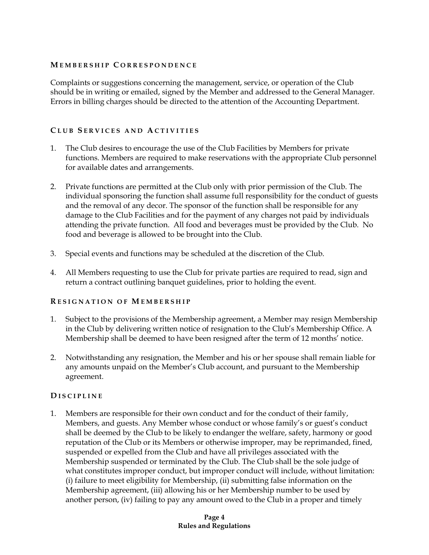#### **M E M B E R S H I P C O R R E S P O N D E N C E**

Complaints or suggestions concerning the management, service, or operation of the Club should be in writing or emailed, signed by the Member and addressed to the General Manager. Errors in billing charges should be directed to the attention of the Accounting Department.

# **C L U B S E R V I C E S A N D A C T I V I T I E S**

- 1. The Club desires to encourage the use of the Club Facilities by Members for private functions. Members are required to make reservations with the appropriate Club personnel for available dates and arrangements.
- 2. Private functions are permitted at the Club only with prior permission of the Club. The individual sponsoring the function shall assume full responsibility for the conduct of guests and the removal of any decor. The sponsor of the function shall be responsible for any damage to the Club Facilities and for the payment of any charges not paid by individuals attending the private function. All food and beverages must be provided by the Club. No food and beverage is allowed to be brought into the Club.
- 3. Special events and functions may be scheduled at the discretion of the Club.
- 4. All Members requesting to use the Club for private parties are required to read, sign and return a contract outlining banquet guidelines, prior to holding the event.

# **R E S I G N A T I O N O F M E M B E R S H I P**

- 1. Subject to the provisions of the Membership agreement, a Member may resign Membership in the Club by delivering written notice of resignation to the Club's Membership Office. A Membership shall be deemed to have been resigned after the term of 12 months' notice.
- 2. Notwithstanding any resignation, the Member and his or her spouse shall remain liable for any amounts unpaid on the Member's Club account, and pursuant to the Membership agreement.

# **D I S C I P L I N E**

1. Members are responsible for their own conduct and for the conduct of their family, Members, and guests. Any Member whose conduct or whose family's or guest's conduct shall be deemed by the Club to be likely to endanger the welfare, safety, harmony or good reputation of the Club or its Members or otherwise improper, may be reprimanded, fined, suspended or expelled from the Club and have all privileges associated with the Membership suspended or terminated by the Club. The Club shall be the sole judge of what constitutes improper conduct, but improper conduct will include, without limitation: (i) failure to meet eligibility for Membership, (ii) submitting false information on the Membership agreement, (iii) allowing his or her Membership number to be used by another person, (iv) failing to pay any amount owed to the Club in a proper and timely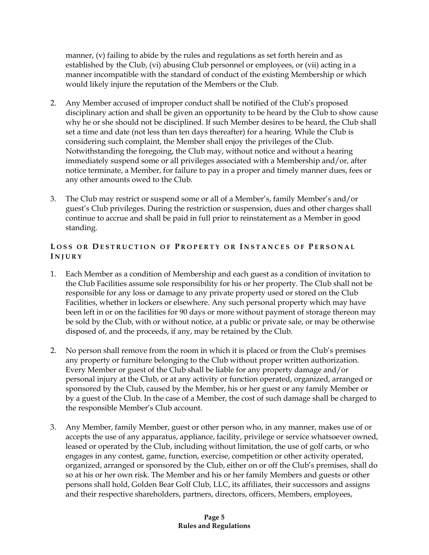manner, (v) failing to abide by the rules and regulations as set forth herein and as established by the Club, (vi) abusing Club personnel or employees, or (vii) acting in a manner incompatible with the standard of conduct of the existing Membership or which would likely injure the reputation of the Members or the Club.

- 2. Any Member accused of improper conduct shall be notified of the Club's proposed disciplinary action and shall be given an opportunity to be heard by the Club to show cause why he or she should not be disciplined. If such Member desires to be heard, the Club shall set a time and date (not less than ten days thereafter) for a hearing. While the Club is considering such complaint, the Member shall enjoy the privileges of the Club. Notwithstanding the foregoing, the Club may, without notice and without a hearing immediately suspend some or all privileges associated with a Membership and/or, after notice terminate, a Member, for failure to pay in a proper and timely manner dues, fees or any other amounts owed to the Club.
- 3. The Club may restrict or suspend some or all of a Member's, family Member's and/or guest's Club privileges. During the restriction or suspension, dues and other charges shall continue to accrue and shall be paid in full prior to reinstatement as a Member in good standing.

# **LOSS OR DESTRUCTION OF PROPERTY OR INSTANCES OF PERSONAL I N J U R Y**

- 1. Each Member as a condition of Membership and each guest as a condition of invitation to the Club Facilities assume sole responsibility for his or her property. The Club shall not be responsible for any loss or damage to any private property used or stored on the Club Facilities, whether in lockers or elsewhere. Any such personal property which may have been left in or on the facilities for 90 days or more without payment of storage thereon may be sold by the Club, with or without notice, at a public or private sale, or may be otherwise disposed of, and the proceeds, if any, may be retained by the Club.
- 2. No person shall remove from the room in which it is placed or from the Club's premises any property or furniture belonging to the Club without proper written authorization. Every Member or guest of the Club shall be liable for any property damage and/or personal injury at the Club, or at any activity or function operated, organized, arranged or sponsored by the Club, caused by the Member, his or her guest or any family Member or by a guest of the Club. In the case of a Member, the cost of such damage shall be charged to the responsible Member's Club account.
- 3. Any Member, family Member, guest or other person who, in any manner, makes use of or accepts the use of any apparatus, appliance, facility, privilege or service whatsoever owned, leased or operated by the Club, including without limitation, the use of golf carts, or who engages in any contest, game, function, exercise, competition or other activity operated, organized, arranged or sponsored by the Club, either on or off the Club's premises, shall do so at his or her own risk. The Member and his or her family Members and guests or other persons shall hold, Golden Bear Golf Club, LLC, its affiliates, their successors and assigns and their respective shareholders, partners, directors, officers, Members, employees,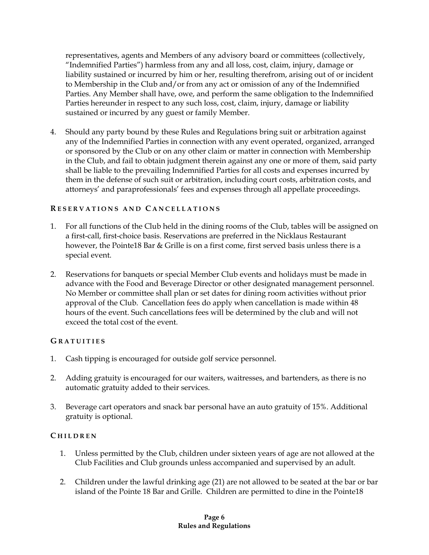representatives, agents and Members of any advisory board or committees (collectively, "Indemnified Parties") harmless from any and all loss, cost, claim, injury, damage or liability sustained or incurred by him or her, resulting therefrom, arising out of or incident to Membership in the Club and/or from any act or omission of any of the Indemnified Parties. Any Member shall have, owe, and perform the same obligation to the Indemnified Parties hereunder in respect to any such loss, cost, claim, injury, damage or liability sustained or incurred by any guest or family Member.

4. Should any party bound by these Rules and Regulations bring suit or arbitration against any of the Indemnified Parties in connection with any event operated, organized, arranged or sponsored by the Club or on any other claim or matter in connection with Membership in the Club, and fail to obtain judgment therein against any one or more of them, said party shall be liable to the prevailing Indemnified Parties for all costs and expenses incurred by them in the defense of such suit or arbitration, including court costs, arbitration costs, and attorneys' and paraprofessionals' fees and expenses through all appellate proceedings.

# **R E S E R V A T I O N S A N D C A N C E L L A T I O N S**

- 1. For all functions of the Club held in the dining rooms of the Club, tables will be assigned on a first-call, first-choice basis. Reservations are preferred in the Nicklaus Restaurant however, the Pointe18 Bar & Grille is on a first come, first served basis unless there is a special event.
- 2. Reservations for banquets or special Member Club events and holidays must be made in advance with the Food and Beverage Director or other designated management personnel. No Member or committee shall plan or set dates for dining room activities without prior approval of the Club. Cancellation fees do apply when cancellation is made within 48 hours of the event. Such cancellations fees will be determined by the club and will not exceed the total cost of the event.

# **G R A T U I T I E S**

- 1. Cash tipping is encouraged for outside golf service personnel.
- 2. Adding gratuity is encouraged for our waiters, waitresses, and bartenders, as there is no automatic gratuity added to their services.
- 3. Beverage cart operators and snack bar personal have an auto gratuity of 15%. Additional gratuity is optional.

# **C H I L D R E N**

- 1. Unless permitted by the Club, children under sixteen years of age are not allowed at the Club Facilities and Club grounds unless accompanied and supervised by an adult.
- 2. Children under the lawful drinking age (21) are not allowed to be seated at the bar or bar island of the Pointe 18 Bar and Grille. Children are permitted to dine in the Pointe18

#### **Page 6 Rules and Regulations**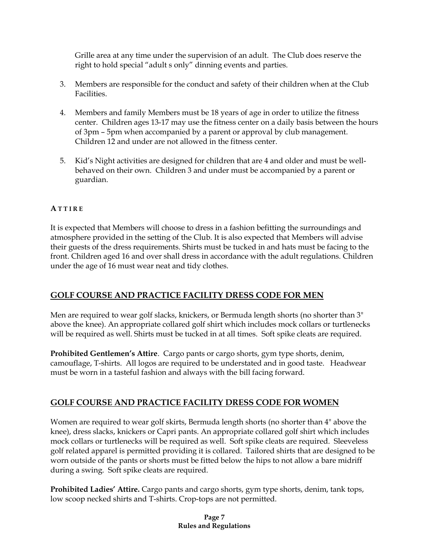Grille area at any time under the supervision of an adult. The Club does reserve the right to hold special "adult s only" dinning events and parties.

- 3. Members are responsible for the conduct and safety of their children when at the Club Facilities.
- 4. Members and family Members must be 18 years of age in order to utilize the fitness center. Children ages 13-17 may use the fitness center on a daily basis between the hours of 3pm – 5pm when accompanied by a parent or approval by club management. Children 12 and under are not allowed in the fitness center.
- 5. Kid's Night activities are designed for children that are 4 and older and must be wellbehaved on their own. Children 3 and under must be accompanied by a parent or guardian.

# **A T T I R E**

It is expected that Members will choose to dress in a fashion befitting the surroundings and atmosphere provided in the setting of the Club. It is also expected that Members will advise their guests of the dress requirements. Shirts must be tucked in and hats must be facing to the front. Children aged 16 and over shall dress in accordance with the adult regulations. Children under the age of 16 must wear neat and tidy clothes.

# **GOLF COURSE AND PRACTICE FACILITY DRESS CODE FOR MEN**

Men are required to wear golf slacks, knickers, or Bermuda length shorts (no shorter than 3" above the knee). An appropriate collared golf shirt which includes mock collars or turtlenecks will be required as well. Shirts must be tucked in at all times. Soft spike cleats are required.

**Prohibited Gentlemen's Attire**. Cargo pants or cargo shorts, gym type shorts, denim, camouflage, T-shirts. All logos are required to be understated and in good taste. Headwear must be worn in a tasteful fashion and always with the bill facing forward.

# **GOLF COURSE AND PRACTICE FACILITY DRESS CODE FOR WOMEN**

Women are required to wear golf skirts, Bermuda length shorts (no shorter than 4" above the knee), dress slacks, knickers or Capri pants. An appropriate collared golf shirt which includes mock collars or turtlenecks will be required as well. Soft spike cleats are required. Sleeveless golf related apparel is permitted providing it is collared. Tailored shirts that are designed to be worn outside of the pants or shorts must be fitted below the hips to not allow a bare midriff during a swing. Soft spike cleats are required.

**Prohibited Ladies' Attire.** Cargo pants and cargo shorts, gym type shorts, denim, tank tops, low scoop necked shirts and T-shirts. Crop-tops are not permitted.

#### **Page 7 Rules and Regulations**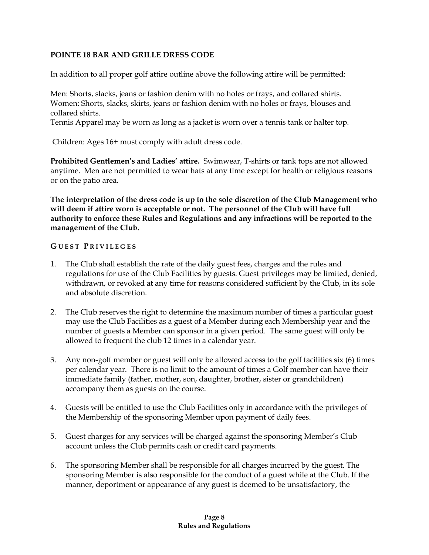# **POINTE 18 BAR AND GRILLE DRESS CODE**

In addition to all proper golf attire outline above the following attire will be permitted:

Men: Shorts, slacks, jeans or fashion denim with no holes or frays, and collared shirts. Women: Shorts, slacks, skirts, jeans or fashion denim with no holes or frays, blouses and collared shirts.

Tennis Apparel may be worn as long as a jacket is worn over a tennis tank or halter top.

Children: Ages 16+ must comply with adult dress code.

**Prohibited Gentlemen's and Ladies' attire.** Swimwear, T-shirts or tank tops are not allowed anytime. Men are not permitted to wear hats at any time except for health or religious reasons or on the patio area.

**The interpretation of the dress code is up to the sole discretion of the Club Management who will deem if attire worn is acceptable or not. The personnel of the Club will have full authority to enforce these Rules and Regulations and any infractions will be reported to the management of the Club.**

# **G U E S T P R I V I L E G E S**

- 1. The Club shall establish the rate of the daily guest fees, charges and the rules and regulations for use of the Club Facilities by guests. Guest privileges may be limited, denied, withdrawn, or revoked at any time for reasons considered sufficient by the Club, in its sole and absolute discretion.
- 2. The Club reserves the right to determine the maximum number of times a particular guest may use the Club Facilities as a guest of a Member during each Membership year and the number of guests a Member can sponsor in a given period. The same guest will only be allowed to frequent the club 12 times in a calendar year.
- 3. Any non-golf member or guest will only be allowed access to the golf facilities six (6) times per calendar year. There is no limit to the amount of times a Golf member can have their immediate family (father, mother, son, daughter, brother, sister or grandchildren) accompany them as guests on the course.
- 4. Guests will be entitled to use the Club Facilities only in accordance with the privileges of the Membership of the sponsoring Member upon payment of daily fees.
- 5. Guest charges for any services will be charged against the sponsoring Member's Club account unless the Club permits cash or credit card payments.
- 6. The sponsoring Member shall be responsible for all charges incurred by the guest. The sponsoring Member is also responsible for the conduct of a guest while at the Club. If the manner, deportment or appearance of any guest is deemed to be unsatisfactory, the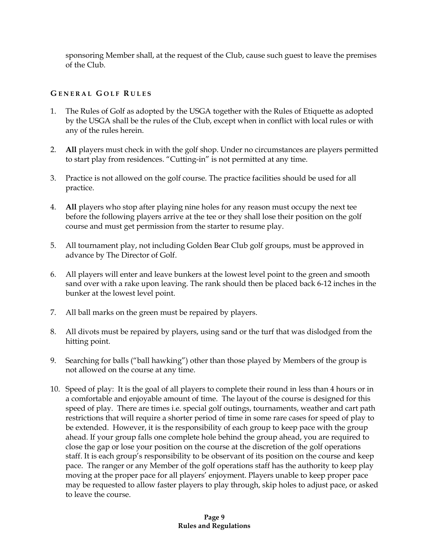sponsoring Member shall, at the request of the Club, cause such guest to leave the premises of the Club.

# **G E N E R A L G O L F R U L E S**

- 1. The Rules of Golf as adopted by the USGA together with the Rules of Etiquette as adopted by the USGA shall be the rules of the Club, except when in conflict with local rules or with any of the rules herein.
- 2. **All** players must check in with the golf shop. Under no circumstances are players permitted to start play from residences. "Cutting-in" is not permitted at any time.
- 3. Practice is not allowed on the golf course. The practice facilities should be used for all practice.
- 4. **All** players who stop after playing nine holes for any reason must occupy the next tee before the following players arrive at the tee or they shall lose their position on the golf course and must get permission from the starter to resume play.
- 5. All tournament play, not including Golden Bear Club golf groups, must be approved in advance by The Director of Golf.
- 6. All players will enter and leave bunkers at the lowest level point to the green and smooth sand over with a rake upon leaving. The rank should then be placed back 6-12 inches in the bunker at the lowest level point.
- 7. All ball marks on the green must be repaired by players.
- 8. All divots must be repaired by players, using sand or the turf that was dislodged from the hitting point.
- 9. Searching for balls ("ball hawking") other than those played by Members of the group is not allowed on the course at any time.
- 10. Speed of play: It is the goal of all players to complete their round in less than 4 hours or in a comfortable and enjoyable amount of time. The layout of the course is designed for this speed of play. There are times i.e. special golf outings, tournaments, weather and cart path restrictions that will require a shorter period of time in some rare cases for speed of play to be extended. However, it is the responsibility of each group to keep pace with the group ahead. If your group falls one complete hole behind the group ahead, you are required to close the gap or lose your position on the course at the discretion of the golf operations staff. It is each group's responsibility to be observant of its position on the course and keep pace. The ranger or any Member of the golf operations staff has the authority to keep play moving at the proper pace for all players' enjoyment. Players unable to keep proper pace may be requested to allow faster players to play through, skip holes to adjust pace, or asked to leave the course.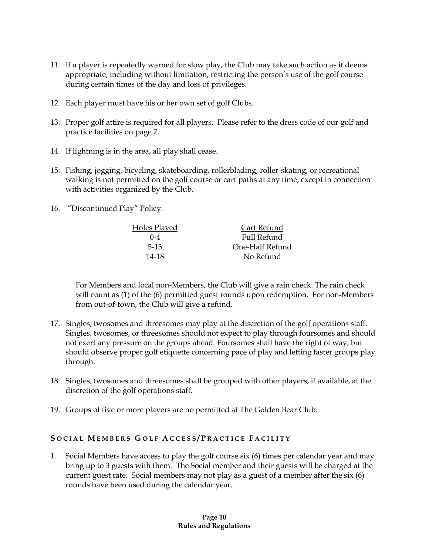- 11. If a player is repeatedly warned for slow play, the Club may take such action as it deems appropriate, including without limitation, restricting the person's use of the golf course during certain times of the day and loss of privileges.
- 12. Each player must have his or her own set of golf Clubs.
- 13. Proper golf attire is required for all players. Please refer to the dress code of our golf and practice facilities on page 7.
- 14. If lightning is in the area, all play shall cease.
- 15. Fishing, jogging, bicycling, skateboarding, rollerblading, roller-skating, or recreational walking is not permitted on the golf course or cart paths at any time, except in connection with activities organized by the Club.
- 16. "Discontinued Play" Policy:

| Cart Refund     |
|-----------------|
| Full Refund     |
| One-Half Refund |
| No Refund       |
|                 |

For Members and local non-Members, the Club will give a rain check. The rain check will count as (1) of the (6) permitted guest rounds upon redemption. For non-Members from out-of-town, the Club will give a refund.

- 17. Singles, twosomes and threesomes may play at the discretion of the golf operations staff. Singles, twosomes, or threesomes should not expect to play through foursomes and should not exert any pressure on the groups ahead. Foursomes shall have the right of way, but should observe proper golf etiquette concerning pace of play and letting faster groups play through.
- 18. Singles, twosomes and threesomes shall be grouped with other players, if available, at the discretion of the golf operations staff.
- 19. Groups of five or more players are no permitted at The Golden Bear Club.

# **S O C I A L M E M B E R S G O L F A C C E S S / P R A C T I C E F A C I L I T Y**

1. Social Members have access to play the golf course six (6) times per calendar year and may bring up to 3 guests with them. The Social member and their guests will be charged at the current guest rate. Social members may not play as a guest of a member after the six (6) rounds have been used during the calendar year.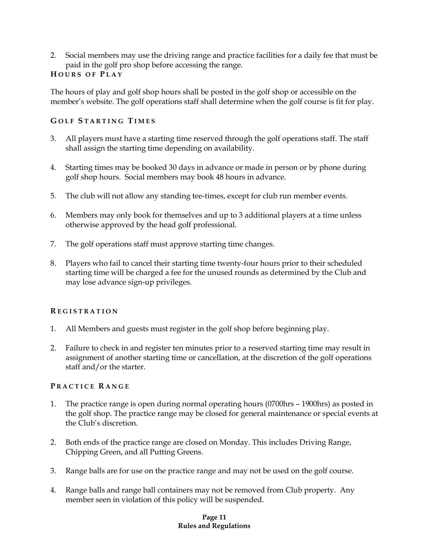2. Social members may use the driving range and practice facilities for a daily fee that must be paid in the golf pro shop before accessing the range.

# **H O U R S O F P L A Y**

The hours of play and golf shop hours shall be posted in the golf shop or accessible on the member's website. The golf operations staff shall determine when the golf course is fit for play.

# **G O L F S T A R T I N G T I M E S**

- 3. All players must have a starting time reserved through the golf operations staff. The staff shall assign the starting time depending on availability.
- 4. Starting times may be booked 30 days in advance or made in person or by phone during golf shop hours. Social members may book 48 hours in advance.
- 5. The club will not allow any standing tee-times, except for club run member events.
- 6. Members may only book for themselves and up to 3 additional players at a time unless otherwise approved by the head golf professional.
- 7. The golf operations staff must approve starting time changes.
- 8. Players who fail to cancel their starting time twenty-four hours prior to their scheduled starting time will be charged a fee for the unused rounds as determined by the Club and may lose advance sign-up privileges.

# **R E G I S T R A T I O N**

- 1. All Members and guests must register in the golf shop before beginning play.
- 2. Failure to check in and register ten minutes prior to a reserved starting time may result in assignment of another starting time or cancellation, at the discretion of the golf operations staff and/or the starter.

# **P R A C T I C E R A N G E**

- 1. The practice range is open during normal operating hours (0700hrs 1900hrs) as posted in the golf shop. The practice range may be closed for general maintenance or special events at the Club's discretion.
- 2. Both ends of the practice range are closed on Monday. This includes Driving Range, Chipping Green, and all Putting Greens.
- 3. Range balls are for use on the practice range and may not be used on the golf course.
- 4. Range balls and range ball containers may not be removed from Club property. Any member seen in violation of this policy will be suspended.

#### **Page 11 Rules and Regulations**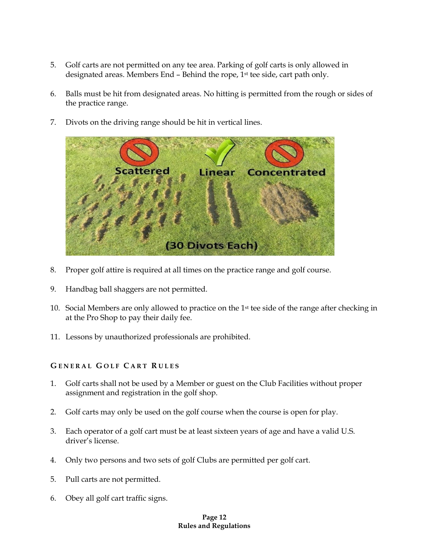- 5. Golf carts are not permitted on any tee area. Parking of golf carts is only allowed in designated areas. Members End - Behind the rope, 1<sup>st</sup> tee side, cart path only.
- 6. Balls must be hit from designated areas. No hitting is permitted from the rough or sides of the practice range.
- 7. Divots on the driving range should be hit in vertical lines.



- 8. Proper golf attire is required at all times on the practice range and golf course.
- 9. Handbag ball shaggers are not permitted.
- 10. Social Members are only allowed to practice on the 1st tee side of the range after checking in at the Pro Shop to pay their daily fee.
- 11. Lessons by unauthorized professionals are prohibited.

# **G E N E R A L G O L F C A R T R U L E S**

- 1. Golf carts shall not be used by a Member or guest on the Club Facilities without proper assignment and registration in the golf shop.
- 2. Golf carts may only be used on the golf course when the course is open for play.
- 3. Each operator of a golf cart must be at least sixteen years of age and have a valid U.S. driver's license.
- 4. Only two persons and two sets of golf Clubs are permitted per golf cart.
- 5. Pull carts are not permitted.
- 6. Obey all golf cart traffic signs.

#### **Page 12 Rules and Regulations**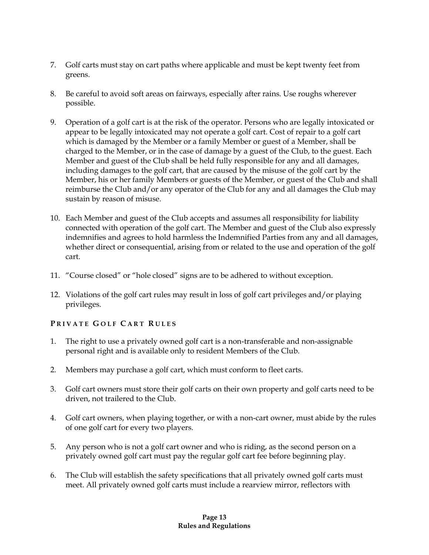- 7. Golf carts must stay on cart paths where applicable and must be kept twenty feet from greens.
- 8. Be careful to avoid soft areas on fairways, especially after rains. Use roughs wherever possible.
- 9. Operation of a golf cart is at the risk of the operator. Persons who are legally intoxicated or appear to be legally intoxicated may not operate a golf cart. Cost of repair to a golf cart which is damaged by the Member or a family Member or guest of a Member, shall be charged to the Member, or in the case of damage by a guest of the Club, to the guest. Each Member and guest of the Club shall be held fully responsible for any and all damages, including damages to the golf cart, that are caused by the misuse of the golf cart by the Member, his or her family Members or guests of the Member, or guest of the Club and shall reimburse the Club and/or any operator of the Club for any and all damages the Club may sustain by reason of misuse.
- 10. Each Member and guest of the Club accepts and assumes all responsibility for liability connected with operation of the golf cart. The Member and guest of the Club also expressly indemnifies and agrees to hold harmless the Indemnified Parties from any and all damages, whether direct or consequential, arising from or related to the use and operation of the golf cart.
- 11. "Course closed" or "hole closed" signs are to be adhered to without exception.
- 12. Violations of the golf cart rules may result in loss of golf cart privileges and/or playing privileges.

# **P R I V A T E G O L F C A R T R U L E S**

- 1. The right to use a privately owned golf cart is a non-transferable and non-assignable personal right and is available only to resident Members of the Club.
- 2. Members may purchase a golf cart, which must conform to fleet carts.
- 3. Golf cart owners must store their golf carts on their own property and golf carts need to be driven, not trailered to the Club.
- 4. Golf cart owners, when playing together, or with a non-cart owner, must abide by the rules of one golf cart for every two players.
- 5. Any person who is not a golf cart owner and who is riding, as the second person on a privately owned golf cart must pay the regular golf cart fee before beginning play.
- 6. The Club will establish the safety specifications that all privately owned golf carts must meet. All privately owned golf carts must include a rearview mirror, reflectors with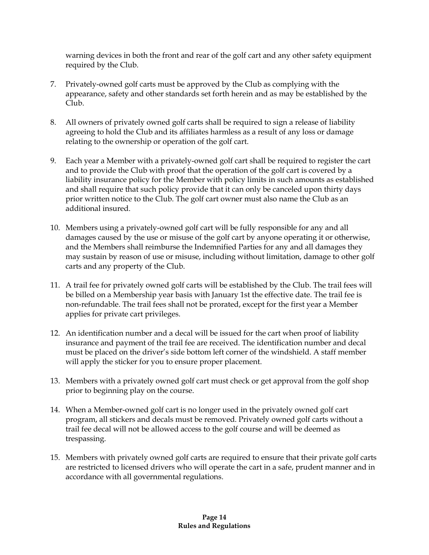warning devices in both the front and rear of the golf cart and any other safety equipment required by the Club.

- 7. Privately-owned golf carts must be approved by the Club as complying with the appearance, safety and other standards set forth herein and as may be established by the Club.
- 8. All owners of privately owned golf carts shall be required to sign a release of liability agreeing to hold the Club and its affiliates harmless as a result of any loss or damage relating to the ownership or operation of the golf cart.
- 9. Each year a Member with a privately-owned golf cart shall be required to register the cart and to provide the Club with proof that the operation of the golf cart is covered by a liability insurance policy for the Member with policy limits in such amounts as established and shall require that such policy provide that it can only be canceled upon thirty days prior written notice to the Club. The golf cart owner must also name the Club as an additional insured.
- 10. Members using a privately-owned golf cart will be fully responsible for any and all damages caused by the use or misuse of the golf cart by anyone operating it or otherwise, and the Members shall reimburse the Indemnified Parties for any and all damages they may sustain by reason of use or misuse, including without limitation, damage to other golf carts and any property of the Club.
- 11. A trail fee for privately owned golf carts will be established by the Club. The trail fees will be billed on a Membership year basis with January 1st the effective date. The trail fee is non-refundable. The trail fees shall not be prorated, except for the first year a Member applies for private cart privileges.
- 12. An identification number and a decal will be issued for the cart when proof of liability insurance and payment of the trail fee are received. The identification number and decal must be placed on the driver's side bottom left corner of the windshield. A staff member will apply the sticker for you to ensure proper placement.
- 13. Members with a privately owned golf cart must check or get approval from the golf shop prior to beginning play on the course.
- 14. When a Member-owned golf cart is no longer used in the privately owned golf cart program, all stickers and decals must be removed. Privately owned golf carts without a trail fee decal will not be allowed access to the golf course and will be deemed as trespassing.
- 15. Members with privately owned golf carts are required to ensure that their private golf carts are restricted to licensed drivers who will operate the cart in a safe, prudent manner and in accordance with all governmental regulations.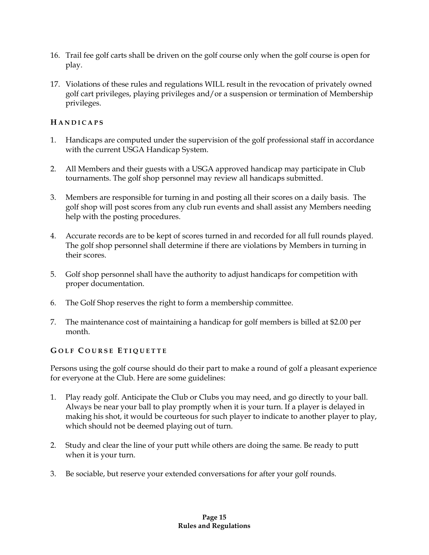- 16. Trail fee golf carts shall be driven on the golf course only when the golf course is open for play.
- 17. Violations of these rules and regulations WILL result in the revocation of privately owned golf cart privileges, playing privileges and/or a suspension or termination of Membership privileges.

# **H A N D I C A P S**

- 1. Handicaps are computed under the supervision of the golf professional staff in accordance with the current USGA Handicap System.
- 2. All Members and their guests with a USGA approved handicap may participate in Club tournaments. The golf shop personnel may review all handicaps submitted.
- 3. Members are responsible for turning in and posting all their scores on a daily basis. The golf shop will post scores from any club run events and shall assist any Members needing help with the posting procedures.
- 4. Accurate records are to be kept of scores turned in and recorded for all full rounds played. The golf shop personnel shall determine if there are violations by Members in turning in their scores.
- 5. Golf shop personnel shall have the authority to adjust handicaps for competition with proper documentation.
- 6. The Golf Shop reserves the right to form a membership committee.
- 7. The maintenance cost of maintaining a handicap for golf members is billed at \$2.00 per month.

# **G O L F C O U R S E E T I Q U E T T E**

Persons using the golf course should do their part to make a round of golf a pleasant experience for everyone at the Club. Here are some guidelines:

- 1. Play ready golf. Anticipate the Club or Clubs you may need, and go directly to your ball. Always be near your ball to play promptly when it is your turn. If a player is delayed in making his shot, it would be courteous for such player to indicate to another player to play, which should not be deemed playing out of turn.
- 2. Study and clear the line of your putt while others are doing the same. Be ready to putt when it is your turn.
- 3. Be sociable, but reserve your extended conversations for after your golf rounds.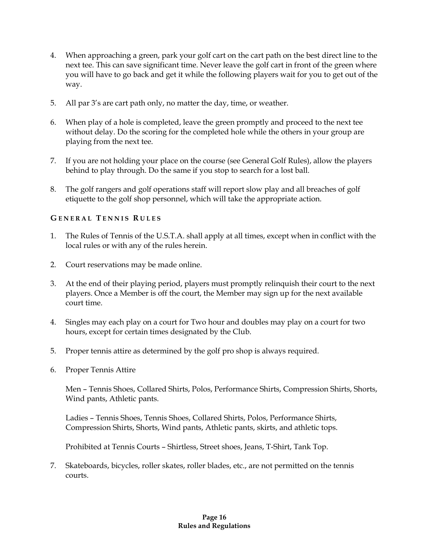- 4. When approaching a green, park your golf cart on the cart path on the best direct line to the next tee. This can save significant time. Never leave the golf cart in front of the green where you will have to go back and get it while the following players wait for you to get out of the way.
- 5. All par 3's are cart path only, no matter the day, time, or weather.
- 6. When play of a hole is completed, leave the green promptly and proceed to the next tee without delay. Do the scoring for the completed hole while the others in your group are playing from the next tee.
- 7. If you are not holding your place on the course (see General Golf Rules), allow the players behind to play through. Do the same if you stop to search for a lost ball.
- 8. The golf rangers and golf operations staff will report slow play and all breaches of golf etiquette to the golf shop personnel, which will take the appropriate action.

# **G E N E R A L T E N N I S R U L E S**

- 1. The Rules of Tennis of the U.S.T.A. shall apply at all times, except when in conflict with the local rules or with any of the rules herein.
- 2. Court reservations may be made online.
- 3. At the end of their playing period, players must promptly relinquish their court to the next players. Once a Member is off the court, the Member may sign up for the next available court time.
- 4. Singles may each play on a court for Two hour and doubles may play on a court for two hours, except for certain times designated by the Club.
- 5. Proper tennis attire as determined by the golf pro shop is always required.
- 6. Proper Tennis Attire

Men – Tennis Shoes, Collared Shirts, Polos, Performance Shirts, Compression Shirts, Shorts, Wind pants, Athletic pants.

Ladies – Tennis Shoes, Tennis Shoes, Collared Shirts, Polos, Performance Shirts, Compression Shirts, Shorts, Wind pants, Athletic pants, skirts, and athletic tops.

Prohibited at Tennis Courts – Shirtless, Street shoes, Jeans, T-Shirt, Tank Top.

7. Skateboards, bicycles, roller skates, roller blades, etc., are not permitted on the tennis courts.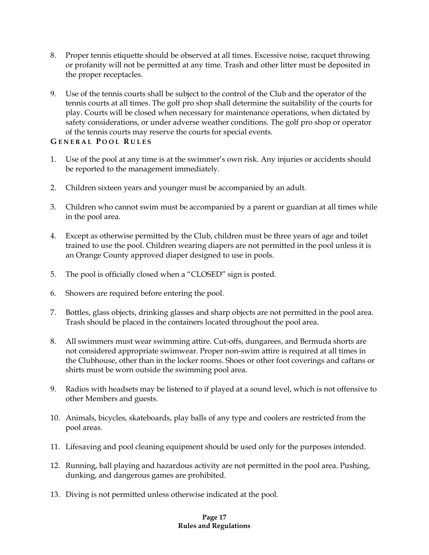- 8. Proper tennis etiquette should be observed at all times. Excessive noise, racquet throwing or profanity will not be permitted at any time. Trash and other litter must be deposited in the proper receptacles.
- 9. Use of the tennis courts shall be subject to the control of the Club and the operator of the tennis courts at all times. The golf pro shop shall determine the suitability of the courts for play. Courts will be closed when necessary for maintenance operations, when dictated by safety considerations, or under adverse weather conditions. The golf pro shop or operator of the tennis courts may reserve the courts for special events.

# **G E N E R A L P O O L R U L E S**

- 1. Use of the pool at any time is at the swimmer's own risk. Any injuries or accidents should be reported to the management immediately.
- 2. Children sixteen years and younger must be accompanied by an adult.
- 3. Children who cannot swim must be accompanied by a parent or guardian at all times while in the pool area.
- 4. Except as otherwise permitted by the Club, children must be three years of age and toilet trained to use the pool. Children wearing diapers are not permitted in the pool unless it is an Orange County approved diaper designed to use in pools.
- 5. The pool is officially closed when a "CLOSED" sign is posted.
- 6. Showers are required before entering the pool.
- 7. Bottles, glass objects, drinking glasses and sharp objects are not permitted in the pool area. Trash should be placed in the containers located throughout the pool area.
- 8. All swimmers must wear swimming attire. Cut-offs, dungarees, and Bermuda shorts are not considered appropriate swimwear. Proper non-swim attire is required at all times in the Clubhouse, other than in the locker rooms. Shoes or other foot coverings and caftans or shirts must be worn outside the swimming pool area.
- 9. Radios with headsets may be listened to if played at a sound level, which is not offensive to other Members and guests.
- 10. Animals, bicycles, skateboards, play balls of any type and coolers are restricted from the pool areas.
- 11. Lifesaving and pool cleaning equipment should be used only for the purposes intended.
- 12. Running, ball playing and hazardous activity are not permitted in the pool area. Pushing, dunking, and dangerous games are prohibited.
- 13. Diving is not permitted unless otherwise indicated at the pool.

#### **Page 17 Rules and Regulations**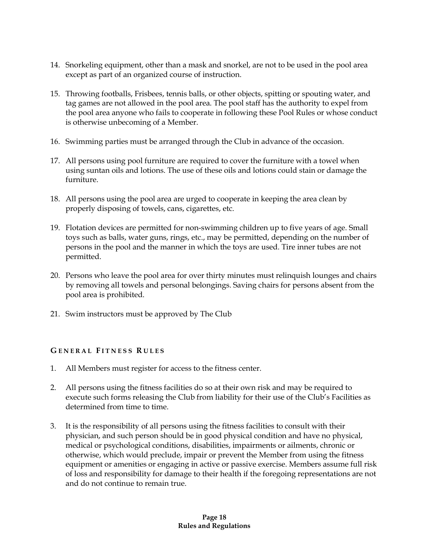- 14. Snorkeling equipment, other than a mask and snorkel, are not to be used in the pool area except as part of an organized course of instruction.
- 15. Throwing footballs, Frisbees, tennis balls, or other objects, spitting or spouting water, and tag games are not allowed in the pool area. The pool staff has the authority to expel from the pool area anyone who fails to cooperate in following these Pool Rules or whose conduct is otherwise unbecoming of a Member.
- 16. Swimming parties must be arranged through the Club in advance of the occasion.
- 17. All persons using pool furniture are required to cover the furniture with a towel when using suntan oils and lotions. The use of these oils and lotions could stain or damage the furniture.
- 18. All persons using the pool area are urged to cooperate in keeping the area clean by properly disposing of towels, cans, cigarettes, etc.
- 19. Flotation devices are permitted for non-swimming children up to five years of age. Small toys such as balls, water guns, rings, etc., may be permitted, depending on the number of persons in the pool and the manner in which the toys are used. Tire inner tubes are not permitted.
- 20. Persons who leave the pool area for over thirty minutes must relinquish lounges and chairs by removing all towels and personal belongings. Saving chairs for persons absent from the pool area is prohibited.
- 21. Swim instructors must be approved by The Club

# **G E N E R A L F I T N E S S R U L E S**

- 1. All Members must register for access to the fitness center.
- 2. All persons using the fitness facilities do so at their own risk and may be required to execute such forms releasing the Club from liability for their use of the Club's Facilities as determined from time to time.
- 3. It is the responsibility of all persons using the fitness facilities to consult with their physician, and such person should be in good physical condition and have no physical, medical or psychological conditions, disabilities, impairments or ailments, chronic or otherwise, which would preclude, impair or prevent the Member from using the fitness equipment or amenities or engaging in active or passive exercise. Members assume full risk of loss and responsibility for damage to their health if the foregoing representations are not and do not continue to remain true.